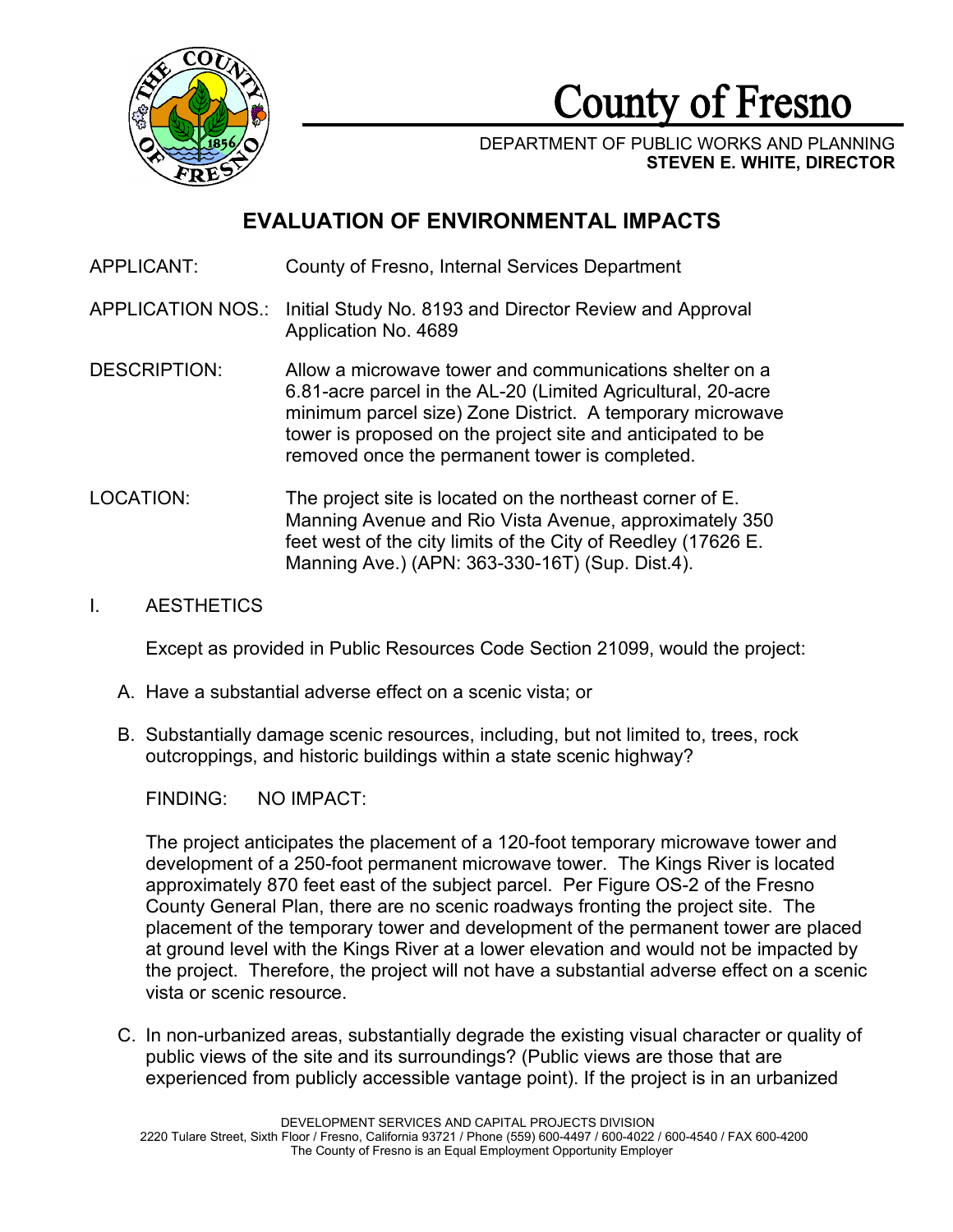

# County of Fresno

DEPARTMENT OF PUBLIC WORKS AND PLANNING **STEVEN E. WHITE, DIRECTOR**

## **EVALUATION OF ENVIRONMENTAL IMPACTS**

- APPLICANT: County of Fresno, Internal Services Department
- APPLICATION NOS.: Initial Study No. 8193 and Director Review and Approval Application No. 4689
- DESCRIPTION: Allow a microwave tower and communications shelter on a 6.81-acre parcel in the AL-20 (Limited Agricultural, 20-acre minimum parcel size) Zone District. A temporary microwave tower is proposed on the project site and anticipated to be removed once the permanent tower is completed.
- LOCATION: The project site is located on the northeast corner of E. Manning Avenue and Rio Vista Avenue, approximately 350 feet west of the city limits of the City of Reedley (17626 E. Manning Ave.) (APN: 363-330-16T) (Sup. Dist.4).

## I. AESTHETICS

Except as provided in Public Resources Code Section 21099, would the project:

- A. Have a substantial adverse effect on a scenic vista; or
- B. Substantially damage scenic resources, including, but not limited to, trees, rock outcroppings, and historic buildings within a state scenic highway?

FINDING: NO IMPACT:

The project anticipates the placement of a 120-foot temporary microwave tower and development of a 250-foot permanent microwave tower. The Kings River is located approximately 870 feet east of the subject parcel. Per Figure OS-2 of the Fresno County General Plan, there are no scenic roadways fronting the project site. The placement of the temporary tower and development of the permanent tower are placed at ground level with the Kings River at a lower elevation and would not be impacted by the project. Therefore, the project will not have a substantial adverse effect on a scenic vista or scenic resource.

C. In non-urbanized areas, substantially degrade the existing visual character or quality of public views of the site and its surroundings? (Public views are those that are experienced from publicly accessible vantage point). If the project is in an urbanized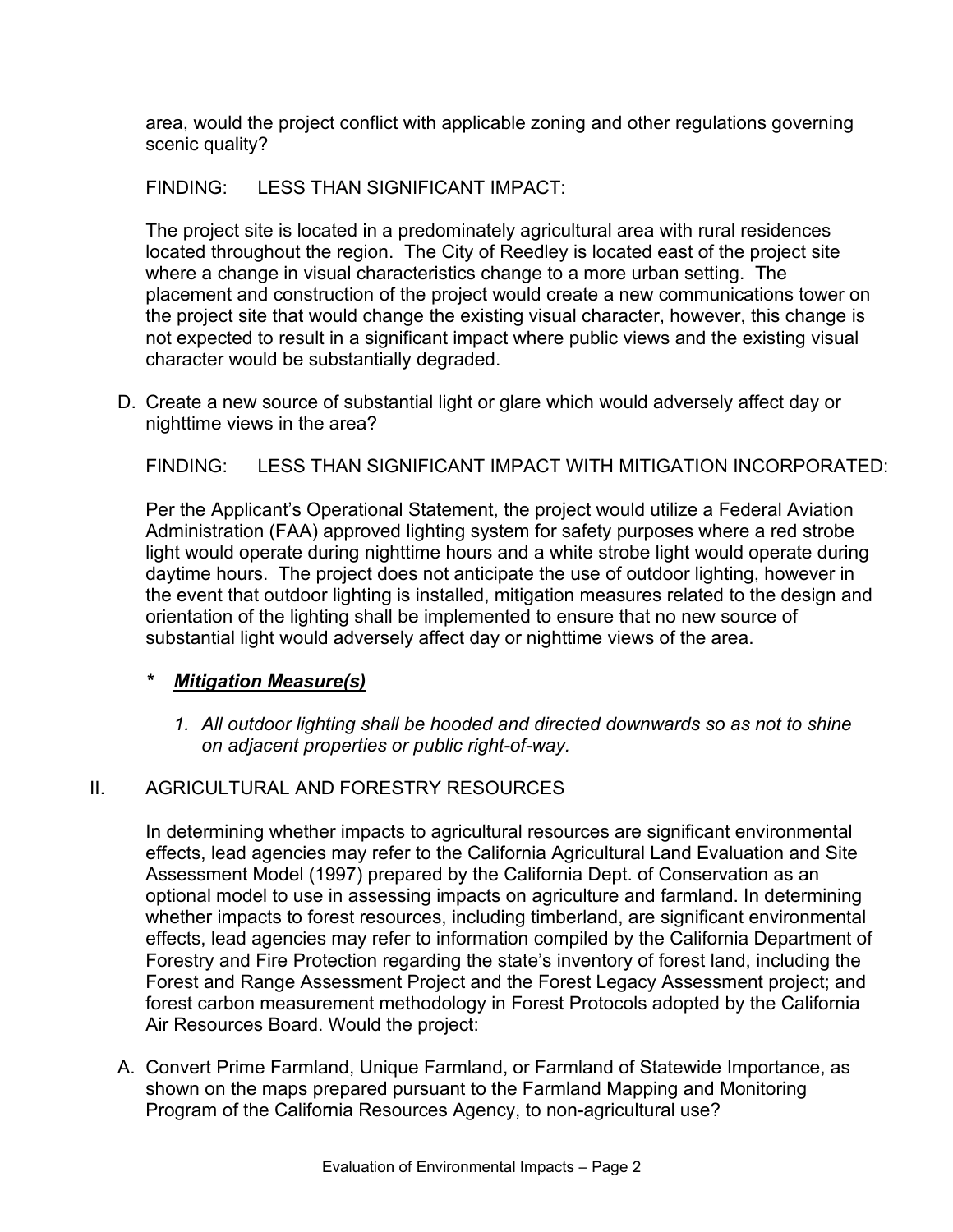area, would the project conflict with applicable zoning and other regulations governing scenic quality?

FINDING: LESS THAN SIGNIFICANT IMPACT:

The project site is located in a predominately agricultural area with rural residences located throughout the region. The City of Reedley is located east of the project site where a change in visual characteristics change to a more urban setting. The placement and construction of the project would create a new communications tower on the project site that would change the existing visual character, however, this change is not expected to result in a significant impact where public views and the existing visual character would be substantially degraded.

D. Create a new source of substantial light or glare which would adversely affect day or nighttime views in the area?

FINDING: LESS THAN SIGNIFICANT IMPACT WITH MITIGATION INCORPORATED:

Per the Applicant's Operational Statement, the project would utilize a Federal Aviation Administration (FAA) approved lighting system for safety purposes where a red strobe light would operate during nighttime hours and a white strobe light would operate during daytime hours. The project does not anticipate the use of outdoor lighting, however in the event that outdoor lighting is installed, mitigation measures related to the design and orientation of the lighting shall be implemented to ensure that no new source of substantial light would adversely affect day or nighttime views of the area.

## *\* Mitigation Measure(s)*

*1. All outdoor lighting shall be hooded and directed downwards so as not to shine on adjacent properties or public right-of-way.* 

## II. AGRICULTURAL AND FORESTRY RESOURCES

In determining whether impacts to agricultural resources are significant environmental effects, lead agencies may refer to the California Agricultural Land Evaluation and Site Assessment Model (1997) prepared by the California Dept. of Conservation as an optional model to use in assessing impacts on agriculture and farmland. In determining whether impacts to forest resources, including timberland, are significant environmental effects, lead agencies may refer to information compiled by the California Department of Forestry and Fire Protection regarding the state's inventory of forest land, including the Forest and Range Assessment Project and the Forest Legacy Assessment project; and forest carbon measurement methodology in Forest Protocols adopted by the California Air Resources Board. Would the project:

A. Convert Prime Farmland, Unique Farmland, or Farmland of Statewide Importance, as shown on the maps prepared pursuant to the Farmland Mapping and Monitoring Program of the California Resources Agency, to non-agricultural use?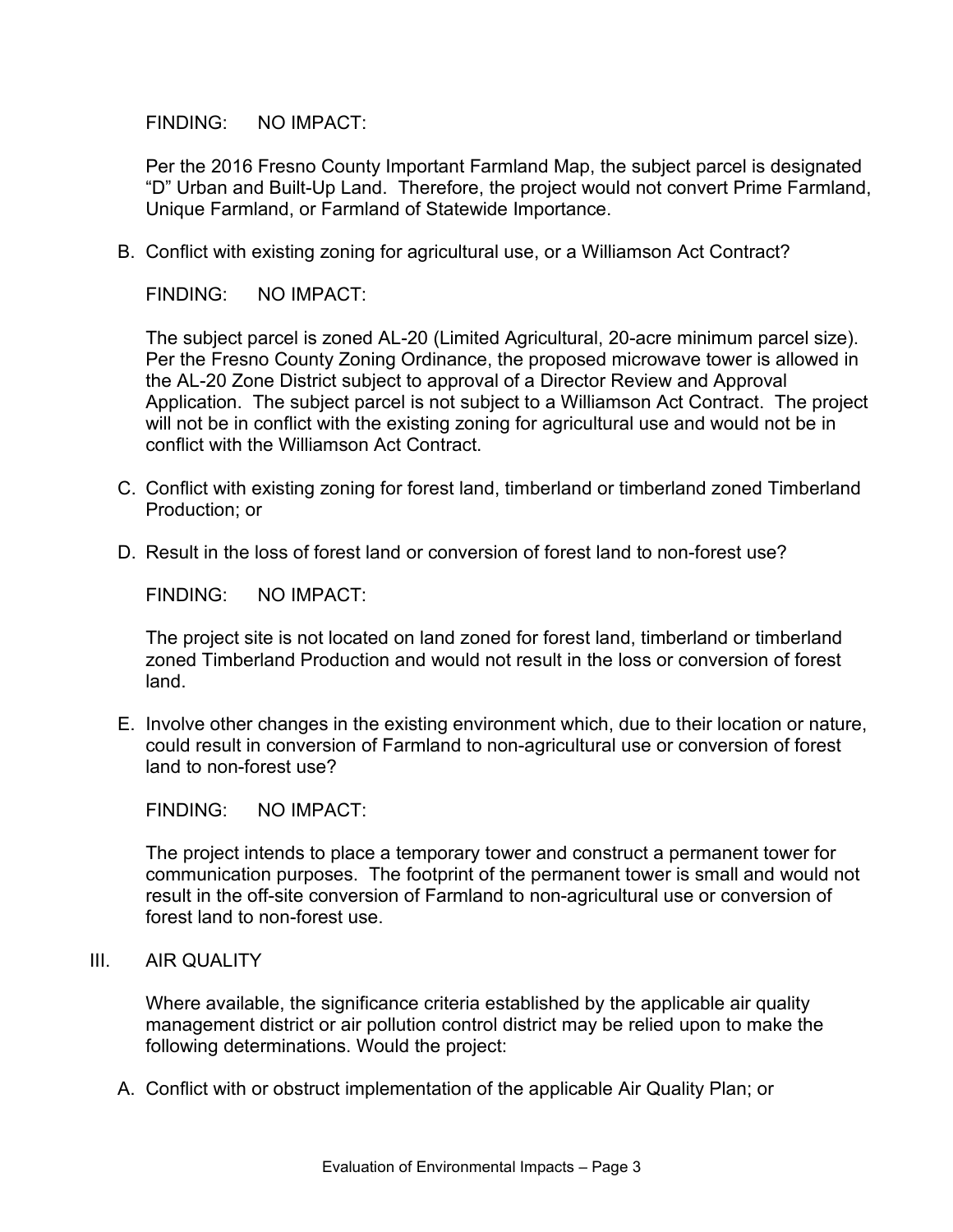Per the 2016 Fresno County Important Farmland Map, the subject parcel is designated "D" Urban and Built-Up Land. Therefore, the project would not convert Prime Farmland, Unique Farmland, or Farmland of Statewide Importance.

B. Conflict with existing zoning for agricultural use, or a Williamson Act Contract?

FINDING: NO IMPACT:

The subject parcel is zoned AL-20 (Limited Agricultural, 20-acre minimum parcel size). Per the Fresno County Zoning Ordinance, the proposed microwave tower is allowed in the AL-20 Zone District subject to approval of a Director Review and Approval Application. The subject parcel is not subject to a Williamson Act Contract. The project will not be in conflict with the existing zoning for agricultural use and would not be in conflict with the Williamson Act Contract.

- C. Conflict with existing zoning for forest land, timberland or timberland zoned Timberland Production; or
- D. Result in the loss of forest land or conversion of forest land to non-forest use?

FINDING: NO IMPACT:

The project site is not located on land zoned for forest land, timberland or timberland zoned Timberland Production and would not result in the loss or conversion of forest land.

E. Involve other changes in the existing environment which, due to their location or nature, could result in conversion of Farmland to non-agricultural use or conversion of forest land to non-forest use?

FINDING: NO IMPACT:

The project intends to place a temporary tower and construct a permanent tower for communication purposes. The footprint of the permanent tower is small and would not result in the off-site conversion of Farmland to non-agricultural use or conversion of forest land to non-forest use.

III. AIR QUALITY

Where available, the significance criteria established by the applicable air quality management district or air pollution control district may be relied upon to make the following determinations. Would the project:

A. Conflict with or obstruct implementation of the applicable Air Quality Plan; or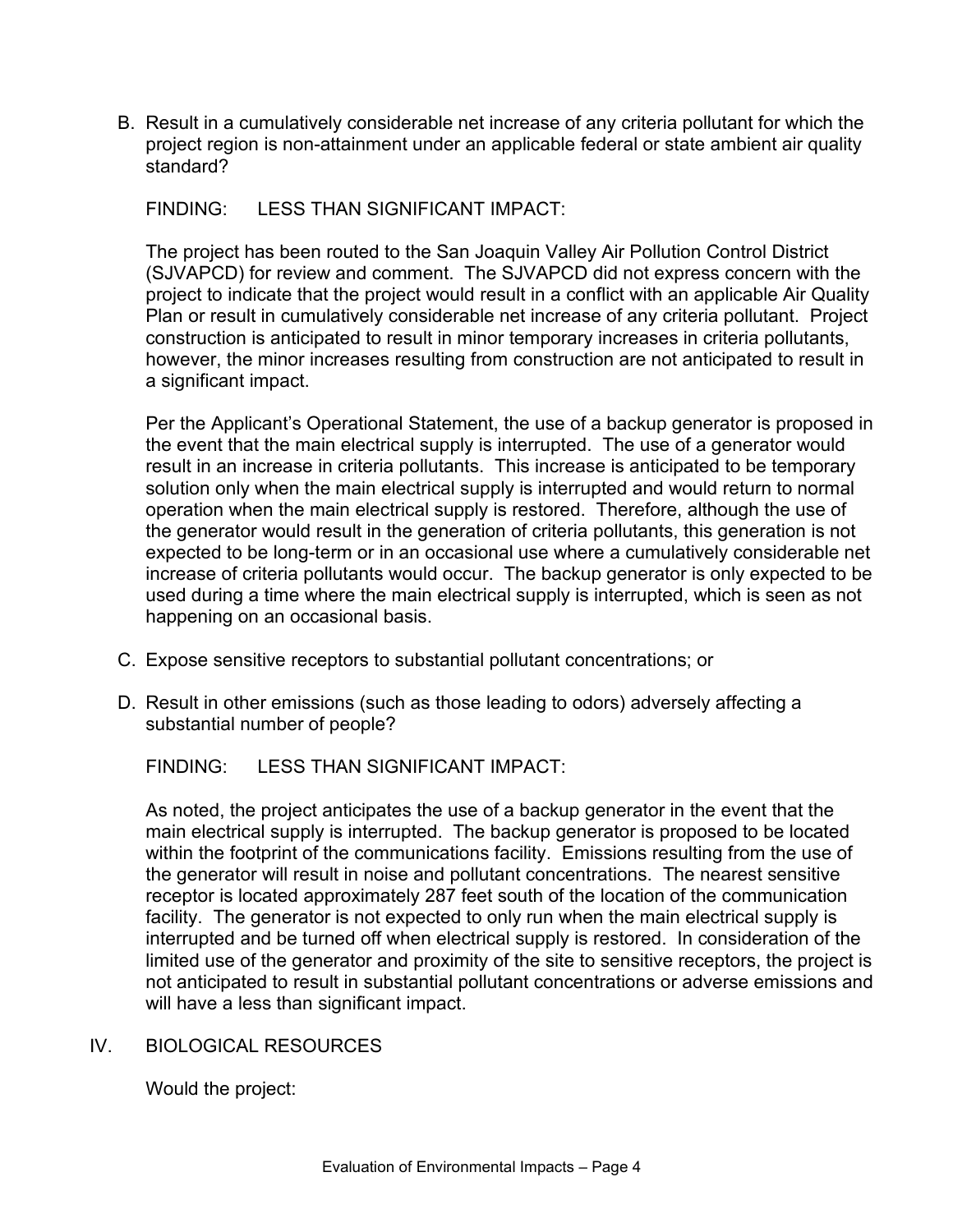B. Result in a cumulatively considerable net increase of any criteria pollutant for which the project region is non-attainment under an applicable federal or state ambient air quality standard?

FINDING: LESS THAN SIGNIFICANT IMPACT:

The project has been routed to the San Joaquin Valley Air Pollution Control District (SJVAPCD) for review and comment. The SJVAPCD did not express concern with the project to indicate that the project would result in a conflict with an applicable Air Quality Plan or result in cumulatively considerable net increase of any criteria pollutant. Project construction is anticipated to result in minor temporary increases in criteria pollutants, however, the minor increases resulting from construction are not anticipated to result in a significant impact.

Per the Applicant's Operational Statement, the use of a backup generator is proposed in the event that the main electrical supply is interrupted. The use of a generator would result in an increase in criteria pollutants. This increase is anticipated to be temporary solution only when the main electrical supply is interrupted and would return to normal operation when the main electrical supply is restored. Therefore, although the use of the generator would result in the generation of criteria pollutants, this generation is not expected to be long-term or in an occasional use where a cumulatively considerable net increase of criteria pollutants would occur. The backup generator is only expected to be used during a time where the main electrical supply is interrupted, which is seen as not happening on an occasional basis.

- C. Expose sensitive receptors to substantial pollutant concentrations; or
- D. Result in other emissions (such as those leading to odors) adversely affecting a substantial number of people?

FINDING: LESS THAN SIGNIFICANT IMPACT:

As noted, the project anticipates the use of a backup generator in the event that the main electrical supply is interrupted. The backup generator is proposed to be located within the footprint of the communications facility. Emissions resulting from the use of the generator will result in noise and pollutant concentrations. The nearest sensitive receptor is located approximately 287 feet south of the location of the communication facility. The generator is not expected to only run when the main electrical supply is interrupted and be turned off when electrical supply is restored. In consideration of the limited use of the generator and proximity of the site to sensitive receptors, the project is not anticipated to result in substantial pollutant concentrations or adverse emissions and will have a less than significant impact.

## IV. BIOLOGICAL RESOURCES

Would the project: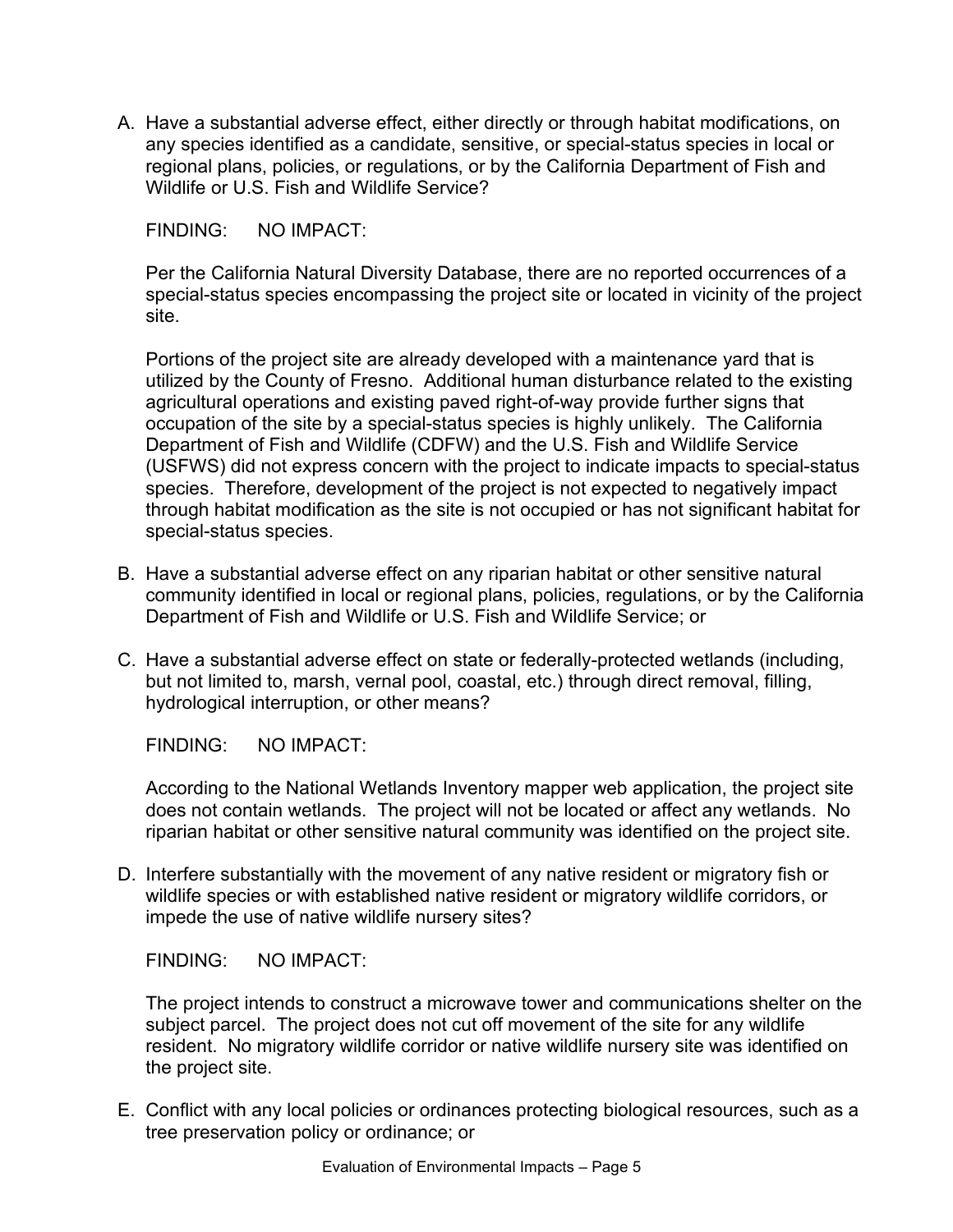A. Have a substantial adverse effect, either directly or through habitat modifications, on any species identified as a candidate, sensitive, or special-status species in local or regional plans, policies, or regulations, or by the California Department of Fish and Wildlife or U.S. Fish and Wildlife Service?

FINDING: NO IMPACT:

Per the California Natural Diversity Database, there are no reported occurrences of a special-status species encompassing the project site or located in vicinity of the project site.

Portions of the project site are already developed with a maintenance yard that is utilized by the County of Fresno. Additional human disturbance related to the existing agricultural operations and existing paved right-of-way provide further signs that occupation of the site by a special-status species is highly unlikely. The California Department of Fish and Wildlife (CDFW) and the U.S. Fish and Wildlife Service (USFWS) did not express concern with the project to indicate impacts to special-status species. Therefore, development of the project is not expected to negatively impact through habitat modification as the site is not occupied or has not significant habitat for special-status species.

- B. Have a substantial adverse effect on any riparian habitat or other sensitive natural community identified in local or regional plans, policies, regulations, or by the California Department of Fish and Wildlife or U.S. Fish and Wildlife Service; or
- C. Have a substantial adverse effect on state or federally-protected wetlands (including, but not limited to, marsh, vernal pool, coastal, etc.) through direct removal, filling, hydrological interruption, or other means?

FINDING: NO IMPACT:

According to the National Wetlands Inventory mapper web application, the project site does not contain wetlands. The project will not be located or affect any wetlands. No riparian habitat or other sensitive natural community was identified on the project site.

D. Interfere substantially with the movement of any native resident or migratory fish or wildlife species or with established native resident or migratory wildlife corridors, or impede the use of native wildlife nursery sites?

FINDING: NO IMPACT:

The project intends to construct a microwave tower and communications shelter on the subject parcel. The project does not cut off movement of the site for any wildlife resident. No migratory wildlife corridor or native wildlife nursery site was identified on the project site.

E. Conflict with any local policies or ordinances protecting biological resources, such as a tree preservation policy or ordinance; or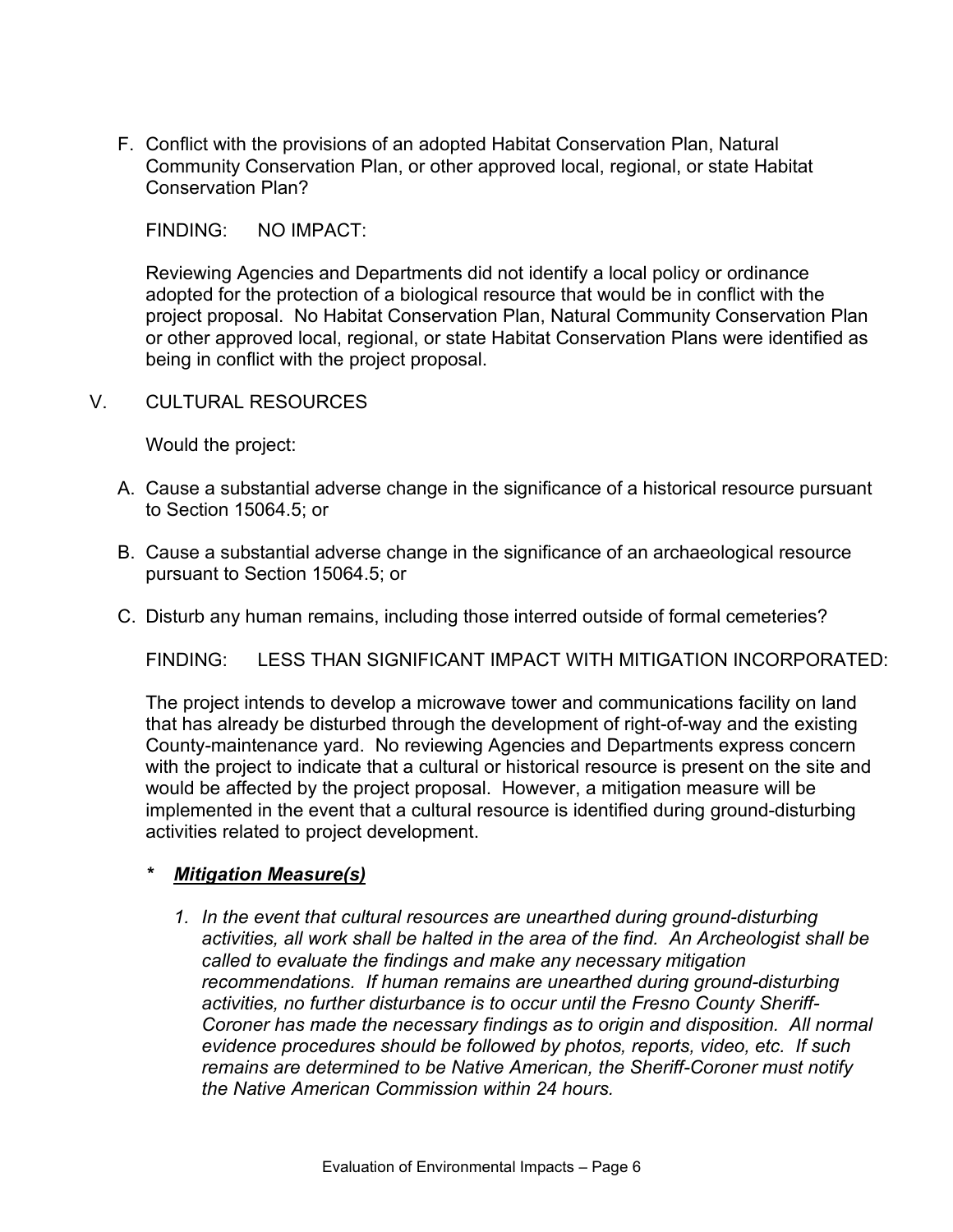F. Conflict with the provisions of an adopted Habitat Conservation Plan, Natural Community Conservation Plan, or other approved local, regional, or state Habitat Conservation Plan?

FINDING: NO IMPACT:

Reviewing Agencies and Departments did not identify a local policy or ordinance adopted for the protection of a biological resource that would be in conflict with the project proposal. No Habitat Conservation Plan, Natural Community Conservation Plan or other approved local, regional, or state Habitat Conservation Plans were identified as being in conflict with the project proposal.

V. CULTURAL RESOURCES

Would the project:

- A. Cause a substantial adverse change in the significance of a historical resource pursuant to Section 15064.5; or
- B. Cause a substantial adverse change in the significance of an archaeological resource pursuant to Section 15064.5; or
- C. Disturb any human remains, including those interred outside of formal cemeteries?

FINDING: LESS THAN SIGNIFICANT IMPACT WITH MITIGATION INCORPORATED:

The project intends to develop a microwave tower and communications facility on land that has already be disturbed through the development of right-of-way and the existing County-maintenance yard. No reviewing Agencies and Departments express concern with the project to indicate that a cultural or historical resource is present on the site and would be affected by the project proposal. However, a mitigation measure will be implemented in the event that a cultural resource is identified during ground-disturbing activities related to project development.

#### *\* Mitigation Measure(s)*

*1. In the event that cultural resources are unearthed during ground-disturbing activities, all work shall be halted in the area of the find. An Archeologist shall be called to evaluate the findings and make any necessary mitigation recommendations. If human remains are unearthed during ground-disturbing activities, no further disturbance is to occur until the Fresno County Sheriff-Coroner has made the necessary findings as to origin and disposition. All normal evidence procedures should be followed by photos, reports, video, etc. If such remains are determined to be Native American, the Sheriff-Coroner must notify the Native American Commission within 24 hours.*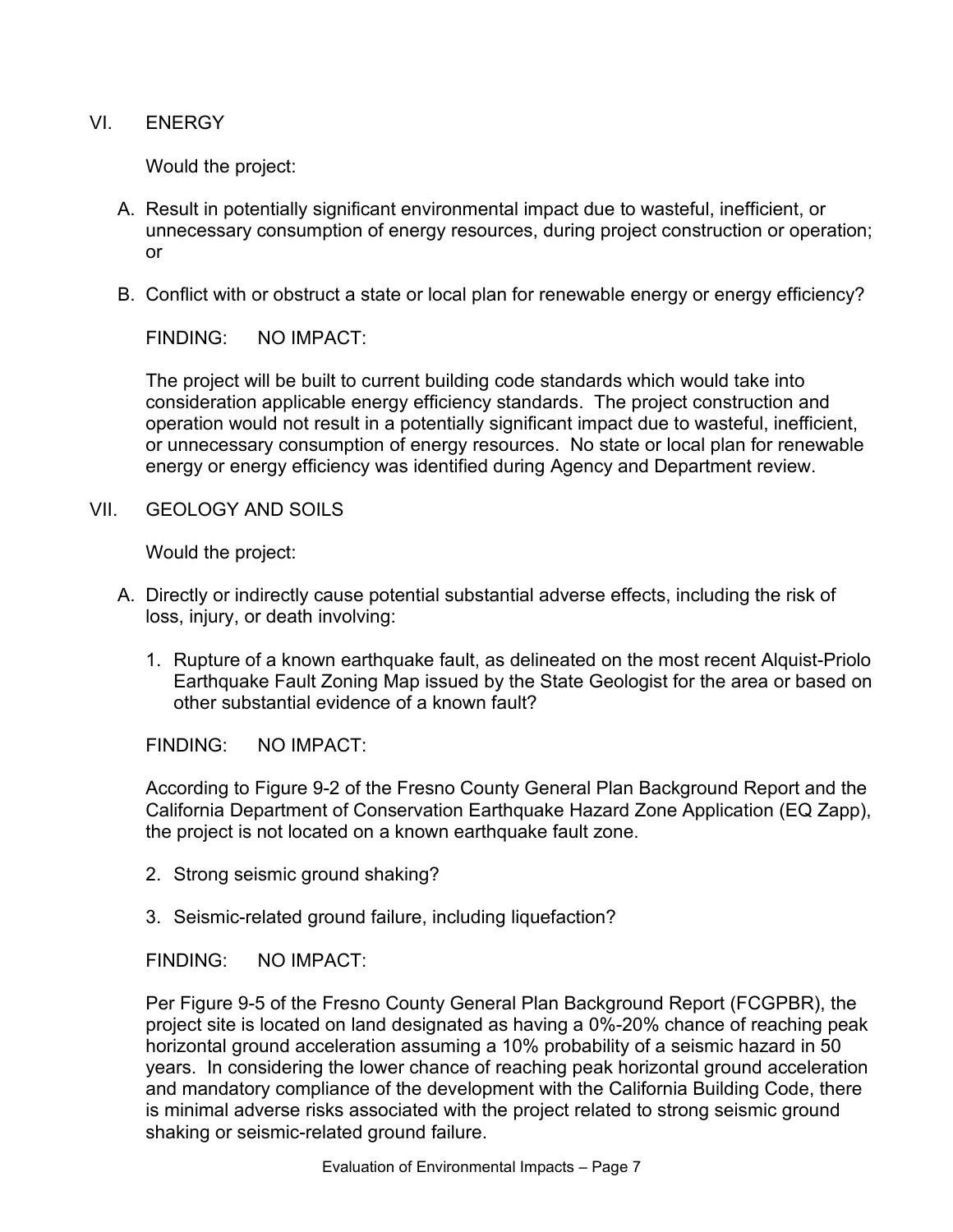VI. ENERGY

Would the project:

- A. Result in potentially significant environmental impact due to wasteful, inefficient, or unnecessary consumption of energy resources, during project construction or operation; or
- B. Conflict with or obstruct a state or local plan for renewable energy or energy efficiency?

FINDING: NO IMPACT:

The project will be built to current building code standards which would take into consideration applicable energy efficiency standards. The project construction and operation would not result in a potentially significant impact due to wasteful, inefficient, or unnecessary consumption of energy resources. No state or local plan for renewable energy or energy efficiency was identified during Agency and Department review.

VII. GEOLOGY AND SOILS

Would the project:

- A. Directly or indirectly cause potential substantial adverse effects, including the risk of loss, injury, or death involving:
	- 1. Rupture of a known earthquake fault, as delineated on the most recent Alquist-Priolo Earthquake Fault Zoning Map issued by the State Geologist for the area or based on other substantial evidence of a known fault?

FINDING: NO IMPACT:

According to Figure 9-2 of the Fresno County General Plan Background Report and the California Department of Conservation Earthquake Hazard Zone Application (EQ Zapp), the project is not located on a known earthquake fault zone.

- 2. Strong seismic ground shaking?
- 3. Seismic-related ground failure, including liquefaction?

FINDING: NO IMPACT:

Per Figure 9-5 of the Fresno County General Plan Background Report (FCGPBR), the project site is located on land designated as having a 0%-20% chance of reaching peak horizontal ground acceleration assuming a 10% probability of a seismic hazard in 50 years. In considering the lower chance of reaching peak horizontal ground acceleration and mandatory compliance of the development with the California Building Code, there is minimal adverse risks associated with the project related to strong seismic ground shaking or seismic-related ground failure.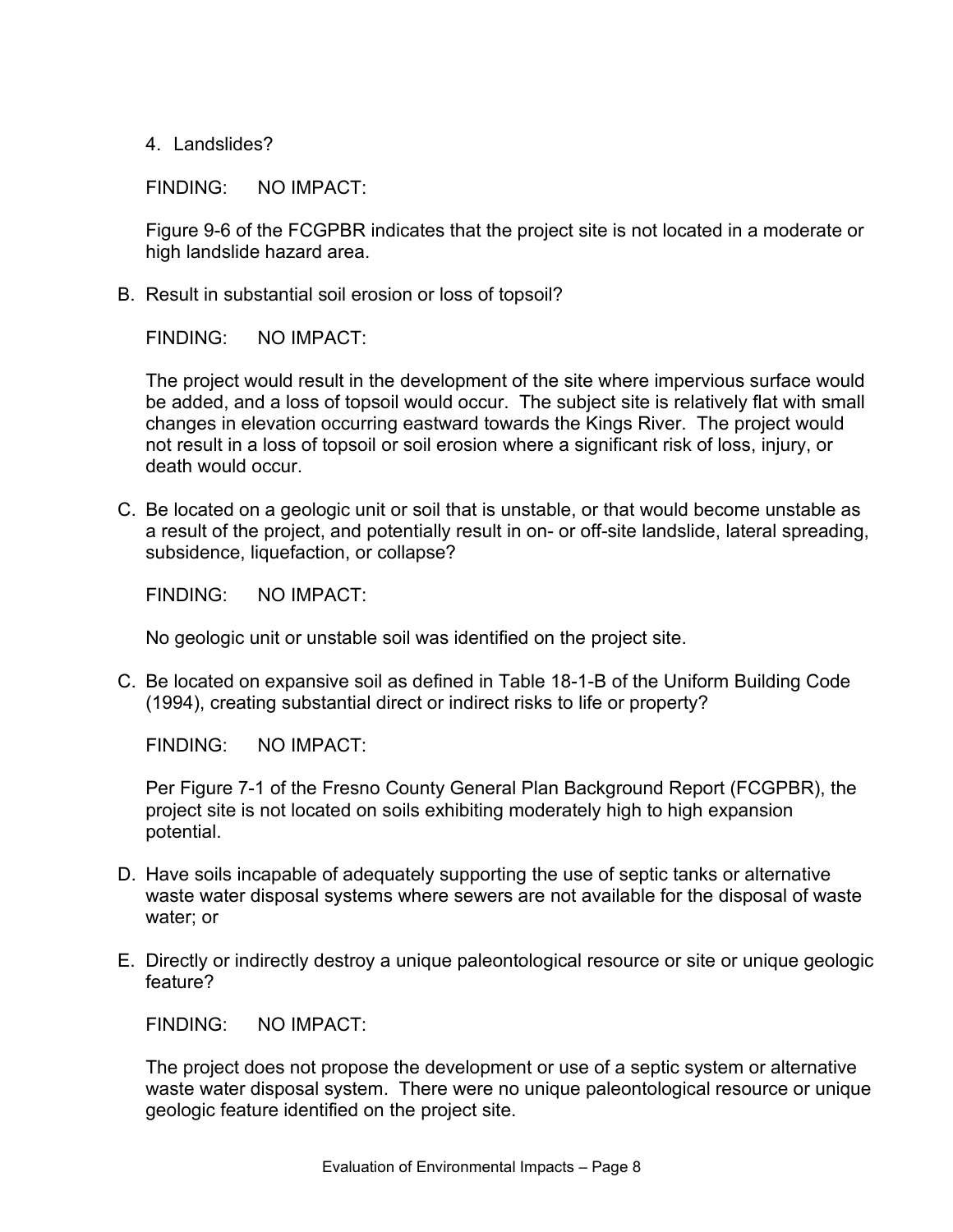4. Landslides?

FINDING: NO IMPACT:

Figure 9-6 of the FCGPBR indicates that the project site is not located in a moderate or high landslide hazard area.

B. Result in substantial soil erosion or loss of topsoil?

FINDING: NO IMPACT:

The project would result in the development of the site where impervious surface would be added, and a loss of topsoil would occur. The subject site is relatively flat with small changes in elevation occurring eastward towards the Kings River. The project would not result in a loss of topsoil or soil erosion where a significant risk of loss, injury, or death would occur.

C. Be located on a geologic unit or soil that is unstable, or that would become unstable as a result of the project, and potentially result in on- or off-site landslide, lateral spreading, subsidence, liquefaction, or collapse?

FINDING: NO IMPACT:

No geologic unit or unstable soil was identified on the project site.

C. Be located on expansive soil as defined in Table 18-1-B of the Uniform Building Code (1994), creating substantial direct or indirect risks to life or property?

FINDING: NO IMPACT:

Per Figure 7-1 of the Fresno County General Plan Background Report (FCGPBR), the project site is not located on soils exhibiting moderately high to high expansion potential.

- D. Have soils incapable of adequately supporting the use of septic tanks or alternative waste water disposal systems where sewers are not available for the disposal of waste water; or
- E. Directly or indirectly destroy a unique paleontological resource or site or unique geologic feature?

FINDING: NO IMPACT:

The project does not propose the development or use of a septic system or alternative waste water disposal system. There were no unique paleontological resource or unique geologic feature identified on the project site.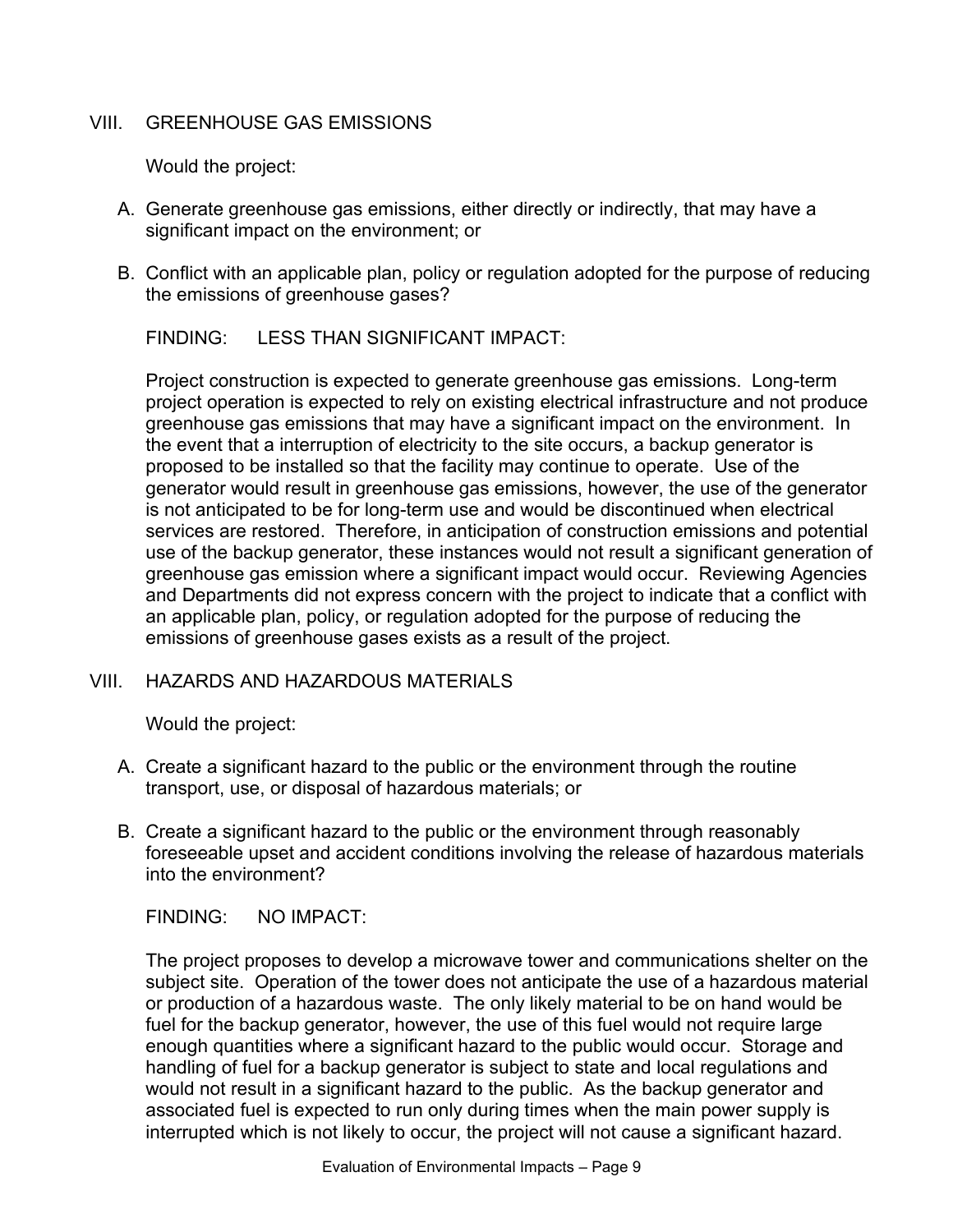### VIII. GREENHOUSE GAS EMISSIONS

Would the project:

- A. Generate greenhouse gas emissions, either directly or indirectly, that may have a significant impact on the environment; or
- B. Conflict with an applicable plan, policy or regulation adopted for the purpose of reducing the emissions of greenhouse gases?

FINDING: LESS THAN SIGNIFICANT IMPACT:

Project construction is expected to generate greenhouse gas emissions. Long-term project operation is expected to rely on existing electrical infrastructure and not produce greenhouse gas emissions that may have a significant impact on the environment. In the event that a interruption of electricity to the site occurs, a backup generator is proposed to be installed so that the facility may continue to operate. Use of the generator would result in greenhouse gas emissions, however, the use of the generator is not anticipated to be for long-term use and would be discontinued when electrical services are restored. Therefore, in anticipation of construction emissions and potential use of the backup generator, these instances would not result a significant generation of greenhouse gas emission where a significant impact would occur. Reviewing Agencies and Departments did not express concern with the project to indicate that a conflict with an applicable plan, policy, or regulation adopted for the purpose of reducing the emissions of greenhouse gases exists as a result of the project.

## VIII. HAZARDS AND HAZARDOUS MATERIALS

Would the project:

- A. Create a significant hazard to the public or the environment through the routine transport, use, or disposal of hazardous materials; or
- B. Create a significant hazard to the public or the environment through reasonably foreseeable upset and accident conditions involving the release of hazardous materials into the environment?

FINDING: NO IMPACT:

The project proposes to develop a microwave tower and communications shelter on the subject site. Operation of the tower does not anticipate the use of a hazardous material or production of a hazardous waste. The only likely material to be on hand would be fuel for the backup generator, however, the use of this fuel would not require large enough quantities where a significant hazard to the public would occur. Storage and handling of fuel for a backup generator is subject to state and local regulations and would not result in a significant hazard to the public. As the backup generator and associated fuel is expected to run only during times when the main power supply is interrupted which is not likely to occur, the project will not cause a significant hazard.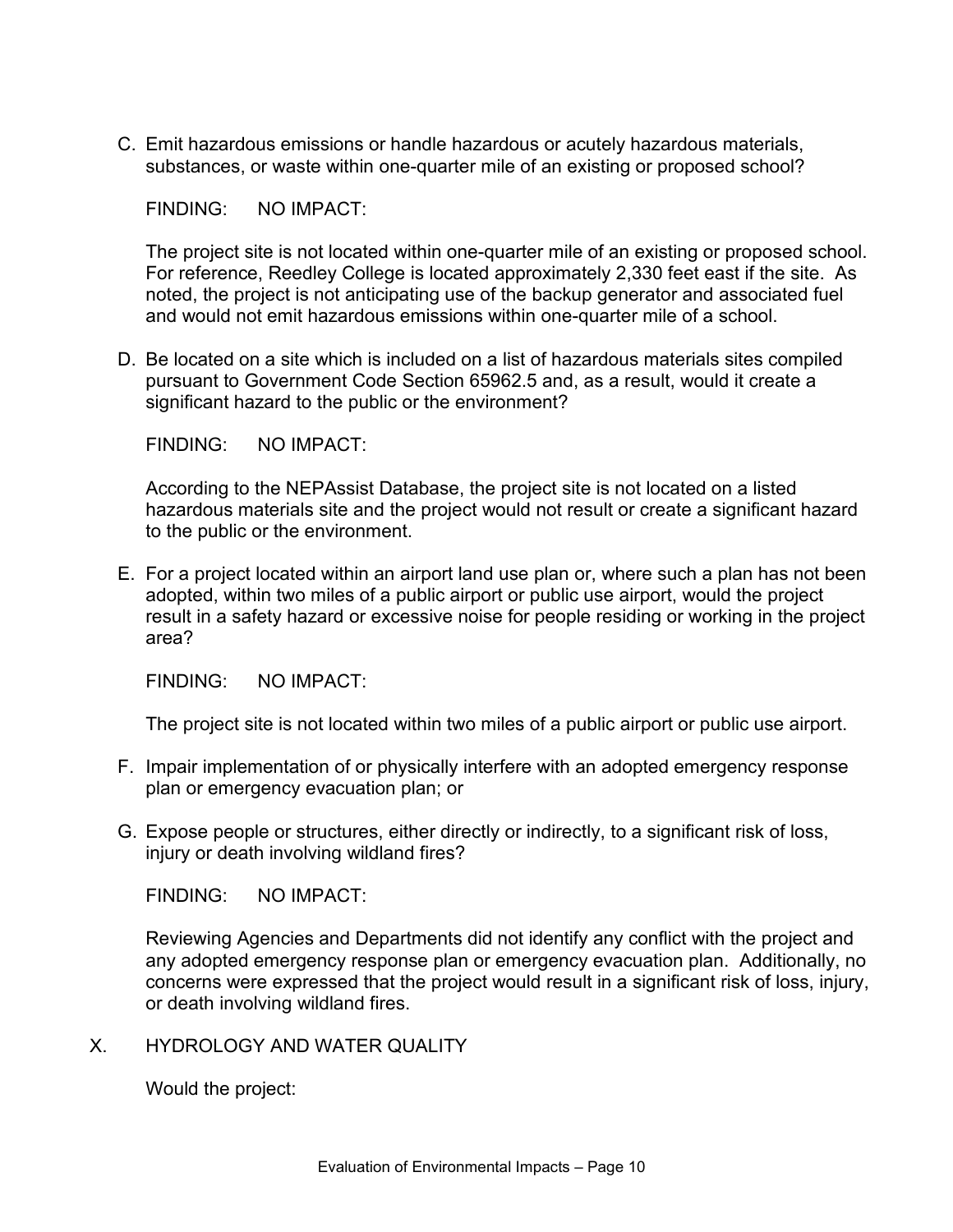C. Emit hazardous emissions or handle hazardous or acutely hazardous materials, substances, or waste within one-quarter mile of an existing or proposed school?

FINDING: NO IMPACT:

The project site is not located within one-quarter mile of an existing or proposed school. For reference, Reedley College is located approximately 2,330 feet east if the site. As noted, the project is not anticipating use of the backup generator and associated fuel and would not emit hazardous emissions within one-quarter mile of a school.

D. Be located on a site which is included on a list of hazardous materials sites compiled pursuant to Government Code Section 65962.5 and, as a result, would it create a significant hazard to the public or the environment?

FINDING: NO IMPACT:

According to the NEPAssist Database, the project site is not located on a listed hazardous materials site and the project would not result or create a significant hazard to the public or the environment.

E. For a project located within an airport land use plan or, where such a plan has not been adopted, within two miles of a public airport or public use airport, would the project result in a safety hazard or excessive noise for people residing or working in the project area?

FINDING: NO IMPACT:

The project site is not located within two miles of a public airport or public use airport.

- F. Impair implementation of or physically interfere with an adopted emergency response plan or emergency evacuation plan; or
- G. Expose people or structures, either directly or indirectly, to a significant risk of loss, injury or death involving wildland fires?

FINDING: NO IMPACT:

Reviewing Agencies and Departments did not identify any conflict with the project and any adopted emergency response plan or emergency evacuation plan. Additionally, no concerns were expressed that the project would result in a significant risk of loss, injury, or death involving wildland fires.

X. HYDROLOGY AND WATER QUALITY

Would the project: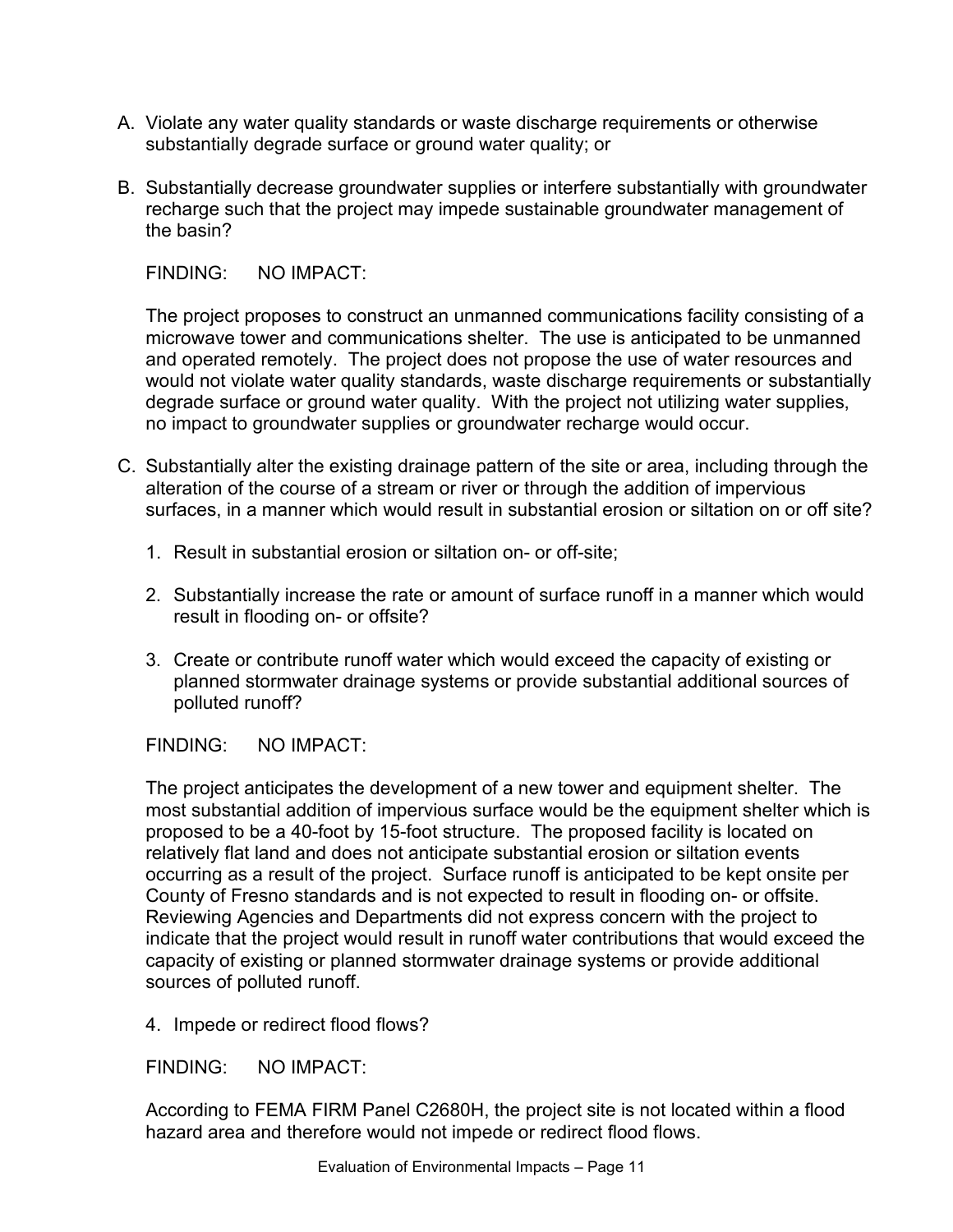- A. Violate any water quality standards or waste discharge requirements or otherwise substantially degrade surface or ground water quality: or
- B. Substantially decrease groundwater supplies or interfere substantially with groundwater recharge such that the project may impede sustainable groundwater management of the basin?

The project proposes to construct an unmanned communications facility consisting of a microwave tower and communications shelter. The use is anticipated to be unmanned and operated remotely. The project does not propose the use of water resources and would not violate water quality standards, waste discharge requirements or substantially degrade surface or ground water quality. With the project not utilizing water supplies, no impact to groundwater supplies or groundwater recharge would occur.

- C. Substantially alter the existing drainage pattern of the site or area, including through the alteration of the course of a stream or river or through the addition of impervious surfaces, in a manner which would result in substantial erosion or siltation on or off site?
	- 1. Result in substantial erosion or siltation on- or off-site;
	- 2. Substantially increase the rate or amount of surface runoff in a manner which would result in flooding on- or offsite?
	- 3. Create or contribute runoff water which would exceed the capacity of existing or planned stormwater drainage systems or provide substantial additional sources of polluted runoff?

FINDING: NO IMPACT:

The project anticipates the development of a new tower and equipment shelter. The most substantial addition of impervious surface would be the equipment shelter which is proposed to be a 40-foot by 15-foot structure. The proposed facility is located on relatively flat land and does not anticipate substantial erosion or siltation events occurring as a result of the project. Surface runoff is anticipated to be kept onsite per County of Fresno standards and is not expected to result in flooding on- or offsite. Reviewing Agencies and Departments did not express concern with the project to indicate that the project would result in runoff water contributions that would exceed the capacity of existing or planned stormwater drainage systems or provide additional sources of polluted runoff.

4. Impede or redirect flood flows?

FINDING: NO IMPACT:

According to FEMA FIRM Panel C2680H, the project site is not located within a flood hazard area and therefore would not impede or redirect flood flows.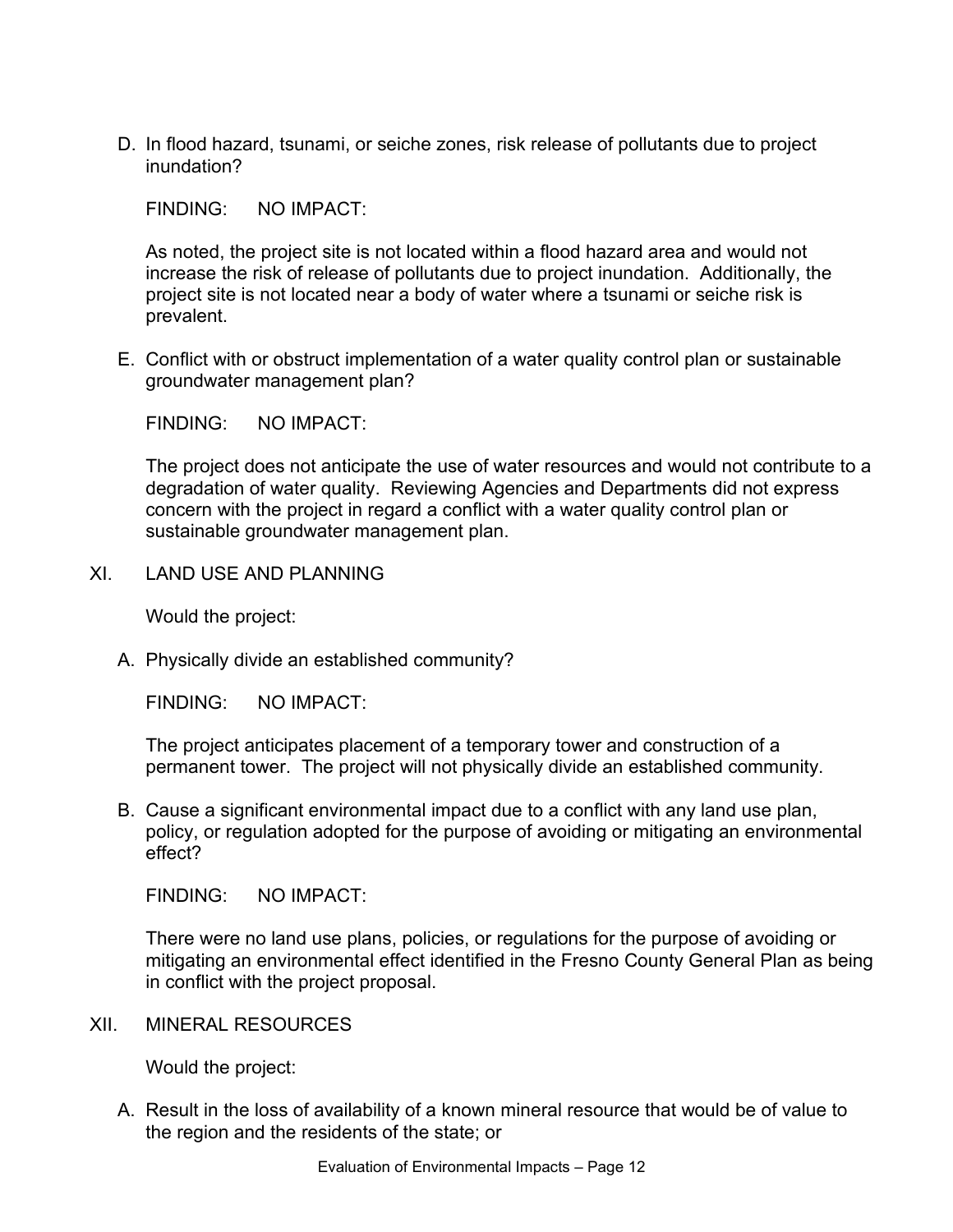D. In flood hazard, tsunami, or seiche zones, risk release of pollutants due to project inundation?

FINDING: NO IMPACT:

As noted, the project site is not located within a flood hazard area and would not increase the risk of release of pollutants due to project inundation. Additionally, the project site is not located near a body of water where a tsunami or seiche risk is prevalent.

E. Conflict with or obstruct implementation of a water quality control plan or sustainable groundwater management plan?

FINDING: NO IMPACT:

The project does not anticipate the use of water resources and would not contribute to a degradation of water quality. Reviewing Agencies and Departments did not express concern with the project in regard a conflict with a water quality control plan or sustainable groundwater management plan.

XI. LAND USE AND PLANNING

Would the project:

A. Physically divide an established community?

FINDING: NO IMPACT:

The project anticipates placement of a temporary tower and construction of a permanent tower. The project will not physically divide an established community.

B. Cause a significant environmental impact due to a conflict with any land use plan, policy, or regulation adopted for the purpose of avoiding or mitigating an environmental effect?

FINDING: NO IMPACT:

There were no land use plans, policies, or regulations for the purpose of avoiding or mitigating an environmental effect identified in the Fresno County General Plan as being in conflict with the project proposal.

XII. MINERAL RESOURCES

Would the project:

A. Result in the loss of availability of a known mineral resource that would be of value to the region and the residents of the state; or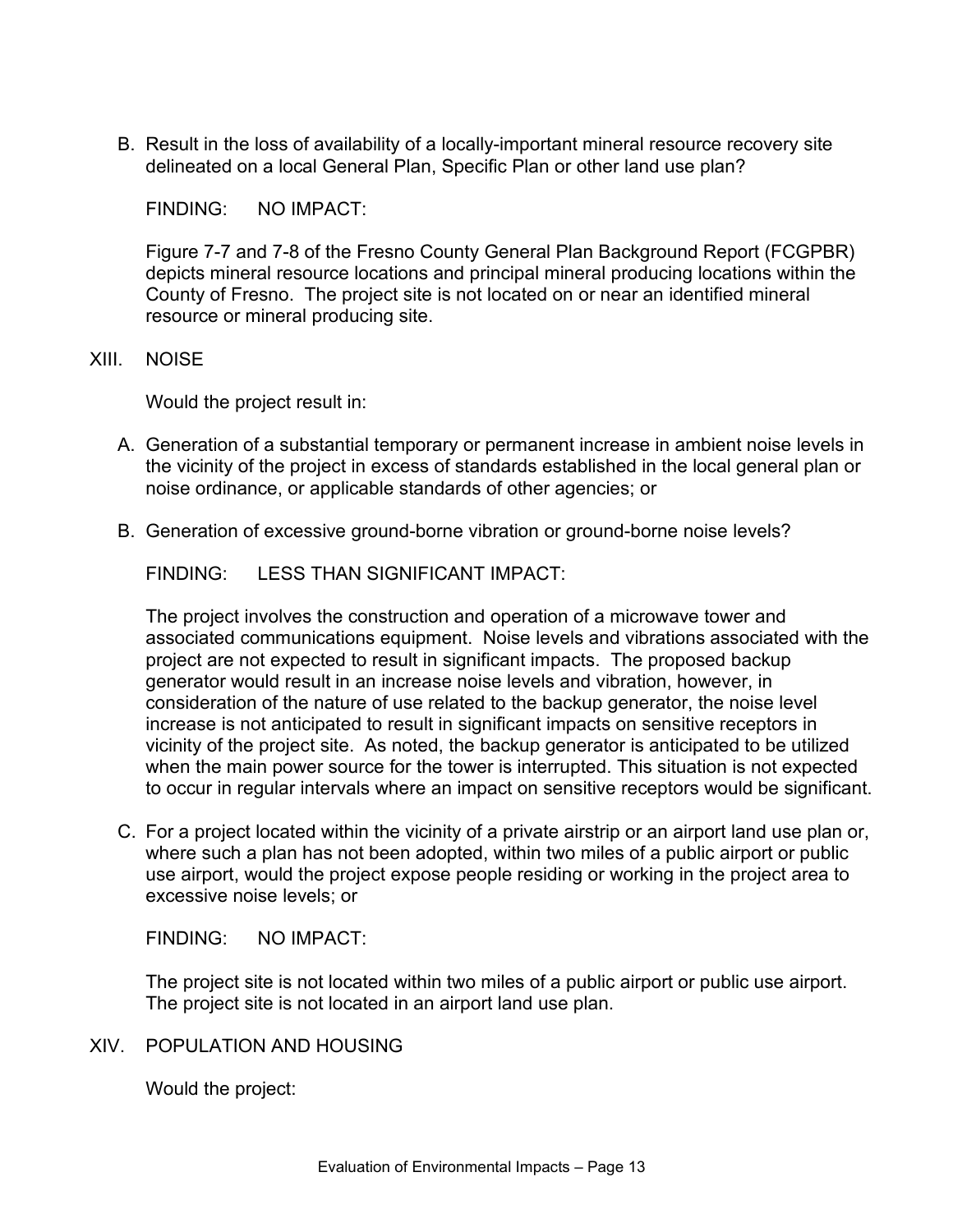B. Result in the loss of availability of a locally-important mineral resource recovery site delineated on a local General Plan, Specific Plan or other land use plan?

FINDING: NO IMPACT:

Figure 7-7 and 7-8 of the Fresno County General Plan Background Report (FCGPBR) depicts mineral resource locations and principal mineral producing locations within the County of Fresno. The project site is not located on or near an identified mineral resource or mineral producing site.

#### XIII. NOISE

Would the project result in:

- A. Generation of a substantial temporary or permanent increase in ambient noise levels in the vicinity of the project in excess of standards established in the local general plan or noise ordinance, or applicable standards of other agencies; or
- B. Generation of excessive ground-borne vibration or ground-borne noise levels?

FINDING: LESS THAN SIGNIFICANT IMPACT:

The project involves the construction and operation of a microwave tower and associated communications equipment. Noise levels and vibrations associated with the project are not expected to result in significant impacts. The proposed backup generator would result in an increase noise levels and vibration, however, in consideration of the nature of use related to the backup generator, the noise level increase is not anticipated to result in significant impacts on sensitive receptors in vicinity of the project site. As noted, the backup generator is anticipated to be utilized when the main power source for the tower is interrupted. This situation is not expected to occur in regular intervals where an impact on sensitive receptors would be significant.

C. For a project located within the vicinity of a private airstrip or an airport land use plan or, where such a plan has not been adopted, within two miles of a public airport or public use airport, would the project expose people residing or working in the project area to excessive noise levels; or

FINDING: NO IMPACT:

The project site is not located within two miles of a public airport or public use airport. The project site is not located in an airport land use plan.

#### XIV. POPULATION AND HOUSING

Would the project: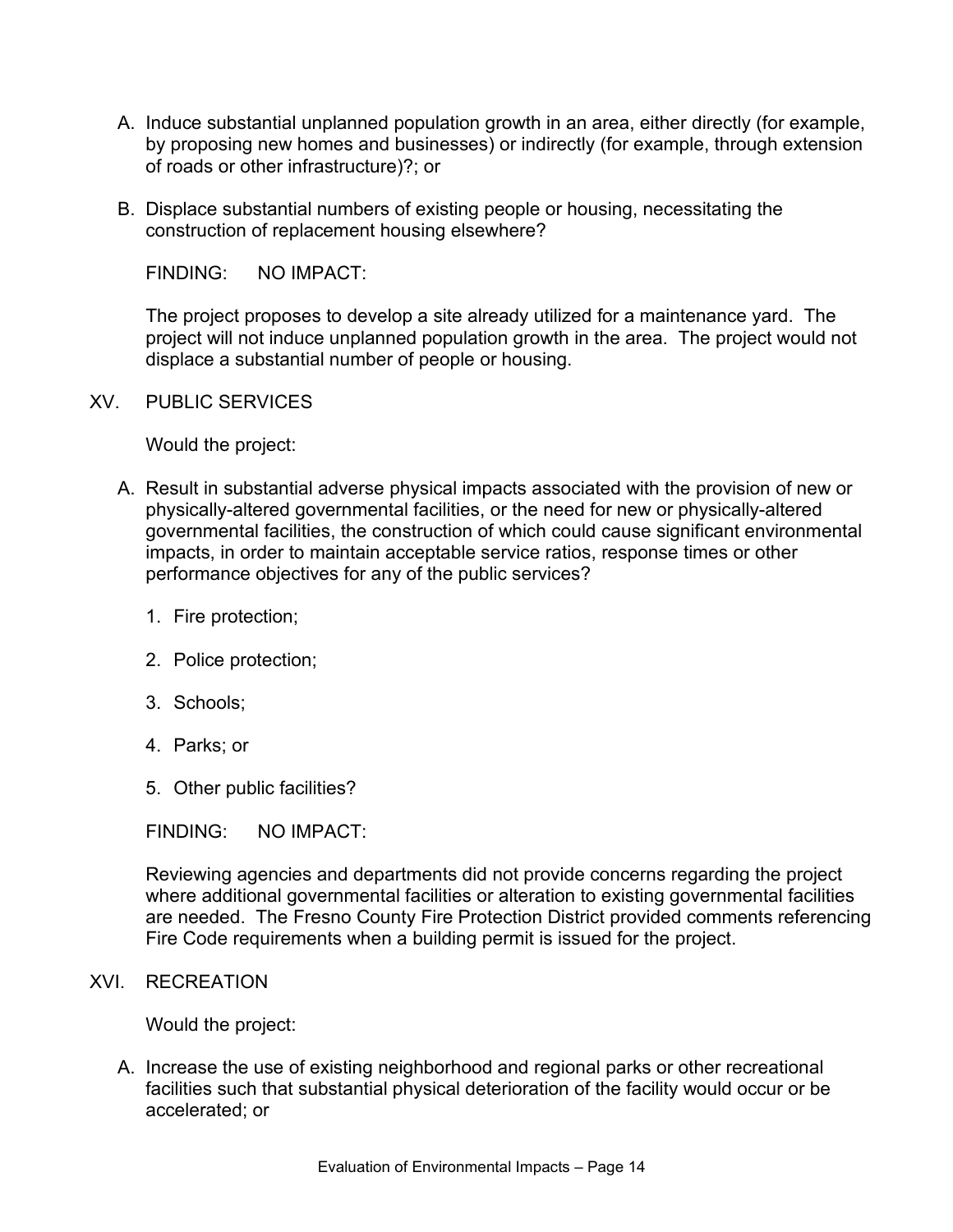- A. Induce substantial unplanned population growth in an area, either directly (for example, by proposing new homes and businesses) or indirectly (for example, through extension of roads or other infrastructure)?; or
- B. Displace substantial numbers of existing people or housing, necessitating the construction of replacement housing elsewhere?

The project proposes to develop a site already utilized for a maintenance yard. The project will not induce unplanned population growth in the area. The project would not displace a substantial number of people or housing.

XV. PUBLIC SERVICES

Would the project:

- A. Result in substantial adverse physical impacts associated with the provision of new or physically-altered governmental facilities, or the need for new or physically-altered governmental facilities, the construction of which could cause significant environmental impacts, in order to maintain acceptable service ratios, response times or other performance objectives for any of the public services?
	- 1. Fire protection;
	- 2. Police protection;
	- 3. Schools;
	- 4. Parks; or
	- 5. Other public facilities?

FINDING: NO IMPACT:

Reviewing agencies and departments did not provide concerns regarding the project where additional governmental facilities or alteration to existing governmental facilities are needed. The Fresno County Fire Protection District provided comments referencing Fire Code requirements when a building permit is issued for the project.

#### XVI. RECREATION

Would the project:

A. Increase the use of existing neighborhood and regional parks or other recreational facilities such that substantial physical deterioration of the facility would occur or be accelerated; or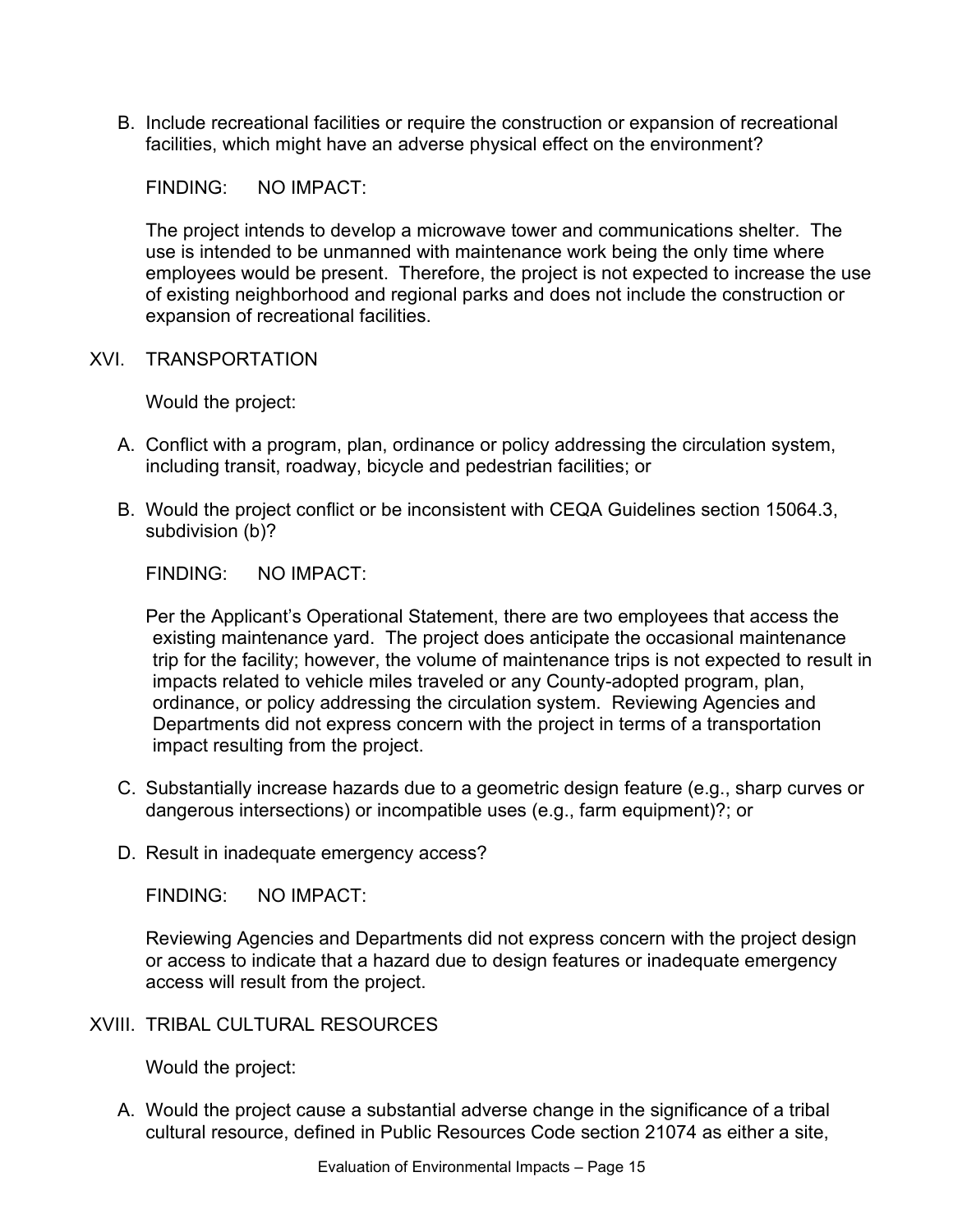B. Include recreational facilities or require the construction or expansion of recreational facilities, which might have an adverse physical effect on the environment?

FINDING: NO IMPACT:

The project intends to develop a microwave tower and communications shelter. The use is intended to be unmanned with maintenance work being the only time where employees would be present. Therefore, the project is not expected to increase the use of existing neighborhood and regional parks and does not include the construction or expansion of recreational facilities.

XVI. TRANSPORTATION

Would the project:

- A. Conflict with a program, plan, ordinance or policy addressing the circulation system, including transit, roadway, bicycle and pedestrian facilities; or
- B. Would the project conflict or be inconsistent with CEQA Guidelines section 15064.3, subdivision (b)?

FINDING: NO IMPACT:

Per the Applicant's Operational Statement, there are two employees that access the existing maintenance yard. The project does anticipate the occasional maintenance trip for the facility; however, the volume of maintenance trips is not expected to result in impacts related to vehicle miles traveled or any County-adopted program, plan, ordinance, or policy addressing the circulation system. Reviewing Agencies and Departments did not express concern with the project in terms of a transportation impact resulting from the project.

- C. Substantially increase hazards due to a geometric design feature (e.g., sharp curves or dangerous intersections) or incompatible uses (e.g., farm equipment)?; or
- D. Result in inadequate emergency access?

FINDING: NO IMPACT:

Reviewing Agencies and Departments did not express concern with the project design or access to indicate that a hazard due to design features or inadequate emergency access will result from the project.

XVIII. TRIBAL CULTURAL RESOURCES

Would the project:

A. Would the project cause a substantial adverse change in the significance of a tribal cultural resource, defined in Public Resources Code section 21074 as either a site,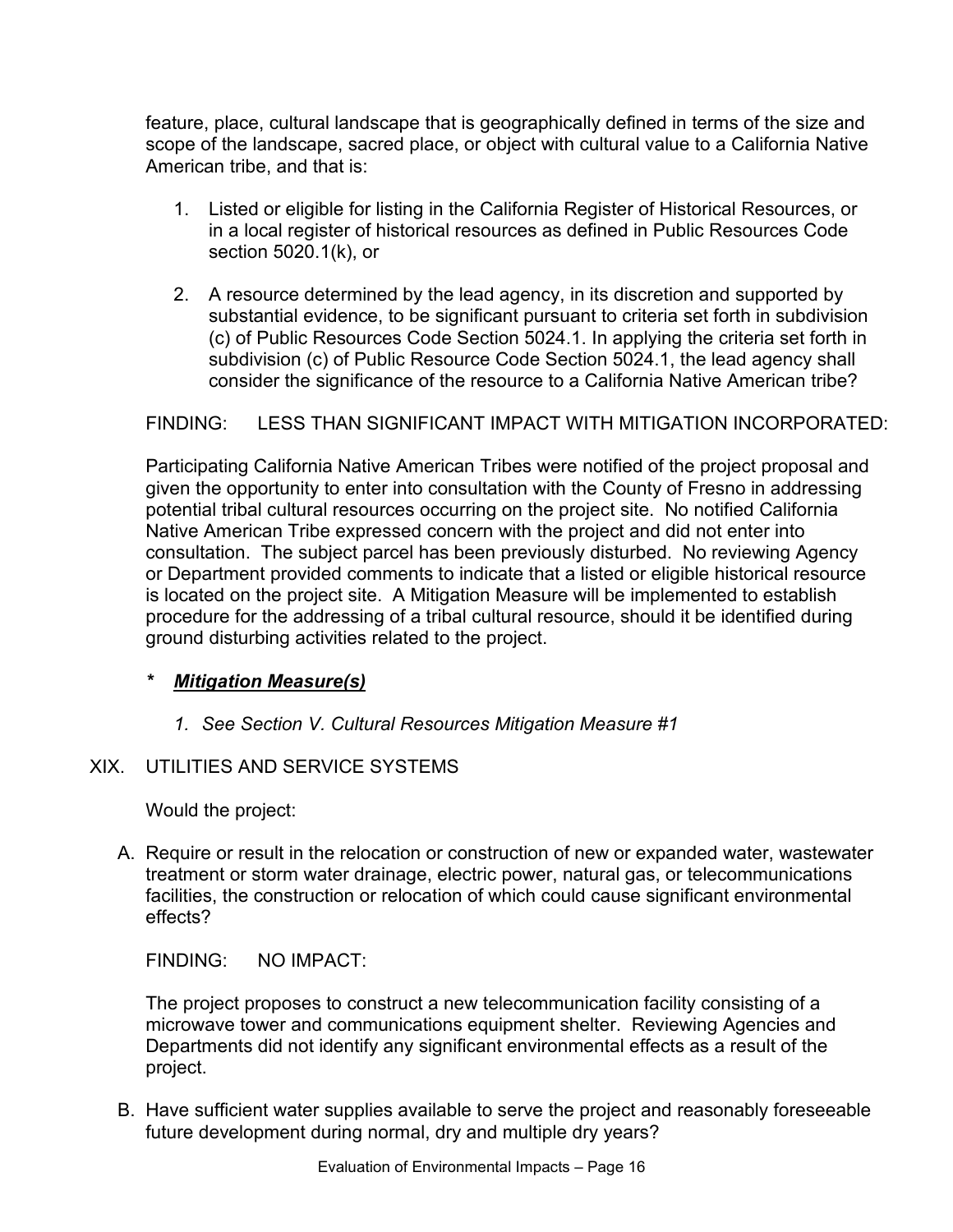feature, place, cultural landscape that is geographically defined in terms of the size and scope of the landscape, sacred place, or object with cultural value to a California Native American tribe, and that is:

- 1. Listed or eligible for listing in the California Register of Historical Resources, or in a local register of historical resources as defined in Public Resources Code section 5020.1(k), or
- 2. A resource determined by the lead agency, in its discretion and supported by substantial evidence, to be significant pursuant to criteria set forth in subdivision (c) of Public Resources Code Section 5024.1. In applying the criteria set forth in subdivision (c) of Public Resource Code Section 5024.1, the lead agency shall consider the significance of the resource to a California Native American tribe?

## FINDING: LESS THAN SIGNIFICANT IMPACT WITH MITIGATION INCORPORATED:

Participating California Native American Tribes were notified of the project proposal and given the opportunity to enter into consultation with the County of Fresno in addressing potential tribal cultural resources occurring on the project site. No notified California Native American Tribe expressed concern with the project and did not enter into consultation. The subject parcel has been previously disturbed. No reviewing Agency or Department provided comments to indicate that a listed or eligible historical resource is located on the project site. A Mitigation Measure will be implemented to establish procedure for the addressing of a tribal cultural resource, should it be identified during ground disturbing activities related to the project.

## *\* Mitigation Measure(s)*

## *1. See Section V. Cultural Resources Mitigation Measure #1*

## XIX. UTILITIES AND SERVICE SYSTEMS

Would the project:

A. Require or result in the relocation or construction of new or expanded water, wastewater treatment or storm water drainage, electric power, natural gas, or telecommunications facilities, the construction or relocation of which could cause significant environmental effects?

FINDING: NO IMPACT:

The project proposes to construct a new telecommunication facility consisting of a microwave tower and communications equipment shelter. Reviewing Agencies and Departments did not identify any significant environmental effects as a result of the project.

B. Have sufficient water supplies available to serve the project and reasonably foreseeable future development during normal, dry and multiple dry years?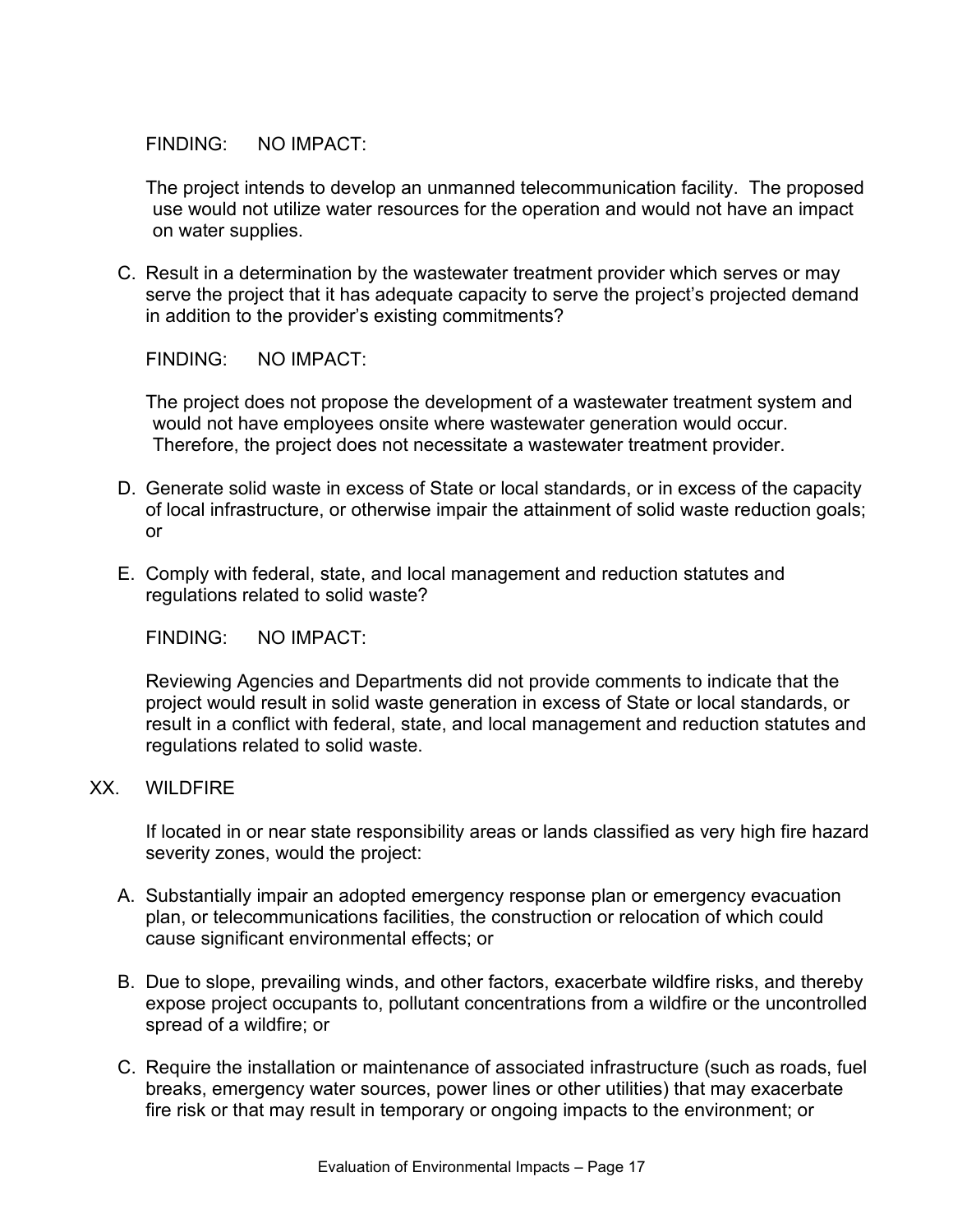The project intends to develop an unmanned telecommunication facility. The proposed use would not utilize water resources for the operation and would not have an impact on water supplies.

C. Result in a determination by the wastewater treatment provider which serves or may serve the project that it has adequate capacity to serve the project's projected demand in addition to the provider's existing commitments?

FINDING: NO IMPACT:

The project does not propose the development of a wastewater treatment system and would not have employees onsite where wastewater generation would occur. Therefore, the project does not necessitate a wastewater treatment provider.

- D. Generate solid waste in excess of State or local standards, or in excess of the capacity of local infrastructure, or otherwise impair the attainment of solid waste reduction goals; or
- E. Comply with federal, state, and local management and reduction statutes and regulations related to solid waste?

FINDING: NO IMPACT:

Reviewing Agencies and Departments did not provide comments to indicate that the project would result in solid waste generation in excess of State or local standards, or result in a conflict with federal, state, and local management and reduction statutes and regulations related to solid waste.

#### XX. WILDFIRE

If located in or near state responsibility areas or lands classified as very high fire hazard severity zones, would the project:

- A. Substantially impair an adopted emergency response plan or emergency evacuation plan, or telecommunications facilities, the construction or relocation of which could cause significant environmental effects; or
- B. Due to slope, prevailing winds, and other factors, exacerbate wildfire risks, and thereby expose project occupants to, pollutant concentrations from a wildfire or the uncontrolled spread of a wildfire; or
- C. Require the installation or maintenance of associated infrastructure (such as roads, fuel breaks, emergency water sources, power lines or other utilities) that may exacerbate fire risk or that may result in temporary or ongoing impacts to the environment; or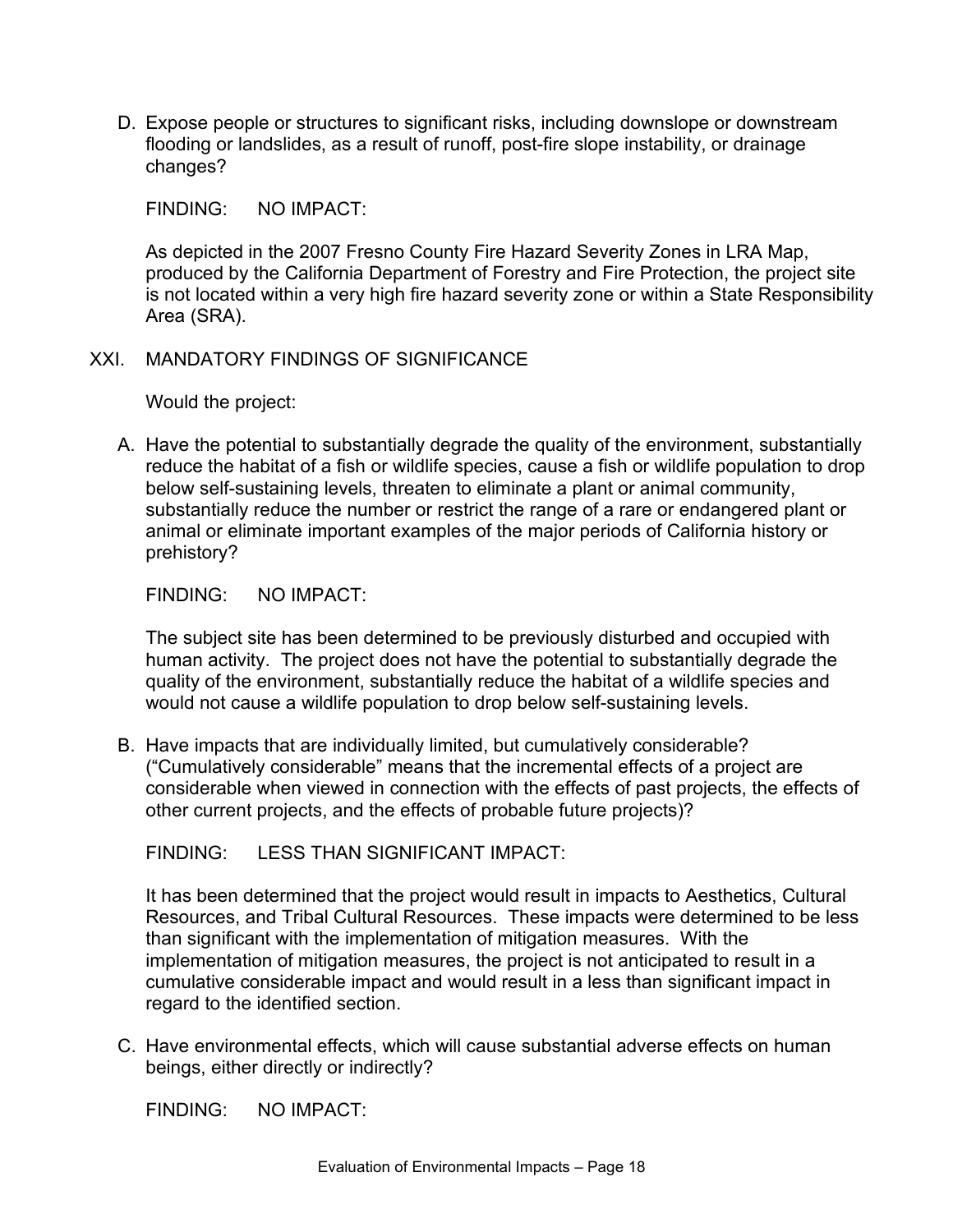D. Expose people or structures to significant risks, including downslope or downstream flooding or landslides, as a result of runoff, post-fire slope instability, or drainage changes?

FINDING: NO IMPACT:

As depicted in the 2007 Fresno County Fire Hazard Severity Zones in LRA Map, produced by the California Department of Forestry and Fire Protection, the project site is not located within a very high fire hazard severity zone or within a State Responsibility Area (SRA).

#### XXI. MANDATORY FINDINGS OF SIGNIFICANCE

Would the project:

A. Have the potential to substantially degrade the quality of the environment, substantially reduce the habitat of a fish or wildlife species, cause a fish or wildlife population to drop below self-sustaining levels, threaten to eliminate a plant or animal community, substantially reduce the number or restrict the range of a rare or endangered plant or animal or eliminate important examples of the major periods of California history or prehistory?

#### FINDING: NO IMPACT:

The subject site has been determined to be previously disturbed and occupied with human activity. The project does not have the potential to substantially degrade the quality of the environment, substantially reduce the habitat of a wildlife species and would not cause a wildlife population to drop below self-sustaining levels.

B. Have impacts that are individually limited, but cumulatively considerable? ("Cumulatively considerable" means that the incremental effects of a project are considerable when viewed in connection with the effects of past projects, the effects of other current projects, and the effects of probable future projects)?

FINDING: LESS THAN SIGNIFICANT IMPACT:

It has been determined that the project would result in impacts to Aesthetics, Cultural Resources, and Tribal Cultural Resources. These impacts were determined to be less than significant with the implementation of mitigation measures. With the implementation of mitigation measures, the project is not anticipated to result in a cumulative considerable impact and would result in a less than significant impact in regard to the identified section.

C. Have environmental effects, which will cause substantial adverse effects on human beings, either directly or indirectly?

FINDING: NO IMPACT: